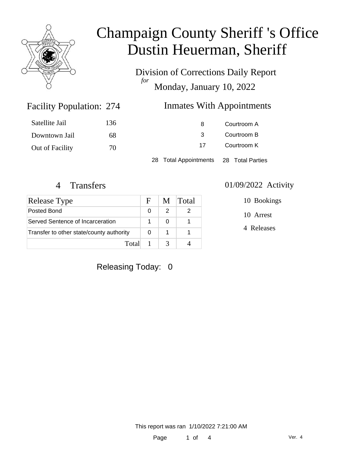

Division of Corrections Daily Report *for* Monday, January 10, 2022

### Inmates With Appointments

| Satellite Jail  | 136 | 8                  | Courtroom A      |
|-----------------|-----|--------------------|------------------|
| Downtown Jail   | 68  | 3                  | Courtroom B      |
| Out of Facility | 70  | Courtroom K<br>17  |                  |
|                 |     | Total Appointments | 28 Total Parties |

Facility Population: 274

| Release Type                             | F. | M | Total |
|------------------------------------------|----|---|-------|
| Posted Bond                              |    |   |       |
| Served Sentence of Incarceration         |    |   |       |
| Transfer to other state/county authority |    |   |       |
| Total                                    |    |   |       |

### 4 Transfers 01/09/2022 Activity

10 Bookings

10 Arrest

4 Releases

### Releasing Today: 0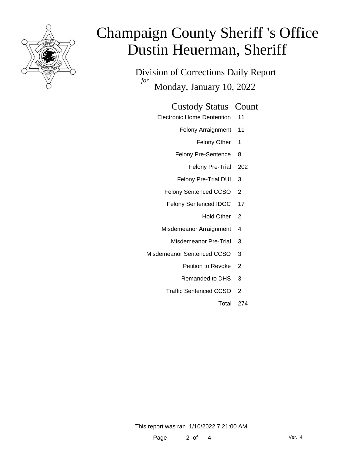

Division of Corrections Daily Report *for* Monday, January 10, 2022

#### Custody Status Count

- Electronic Home Dentention 11
	- Felony Arraignment 11
		- Felony Other 1
	- Felony Pre-Sentence 8
		- Felony Pre-Trial 202
	- Felony Pre-Trial DUI 3
	- Felony Sentenced CCSO 2
	- Felony Sentenced IDOC 17
		- Hold Other 2
	- Misdemeanor Arraignment 4
		- Misdemeanor Pre-Trial 3
- Misdemeanor Sentenced CCSO 3
	- Petition to Revoke 2
	- Remanded to DHS 3
	- Traffic Sentenced CCSO 2
		- Total 274

This report was ran 1/10/2022 7:21:00 AM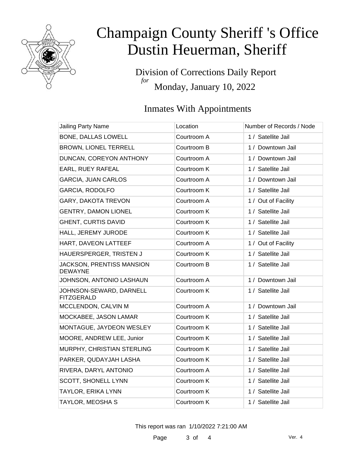

Division of Corrections Daily Report *for* Monday, January 10, 2022

## Inmates With Appointments

| Location    | Number of Records / Node |
|-------------|--------------------------|
| Courtroom A | 1 / Satellite Jail       |
| Courtroom B | 1 / Downtown Jail        |
| Courtroom A | 1 / Downtown Jail        |
| Courtroom K | 1 / Satellite Jail       |
| Courtroom A | 1 / Downtown Jail        |
| Courtroom K | 1 / Satellite Jail       |
| Courtroom A | 1 / Out of Facility      |
| Courtroom K | 1 / Satellite Jail       |
| Courtroom K | 1 / Satellite Jail       |
| Courtroom K | 1 / Satellite Jail       |
| Courtroom A | 1 / Out of Facility      |
| Courtroom K | 1 / Satellite Jail       |
| Courtroom B | 1 / Satellite Jail       |
| Courtroom A | 1 / Downtown Jail        |
| Courtroom K | 1 / Satellite Jail       |
| Courtroom A | 1 / Downtown Jail        |
| Courtroom K | 1 / Satellite Jail       |
| Courtroom K | 1 / Satellite Jail       |
| Courtroom K | 1 / Satellite Jail       |
| Courtroom K | 1 / Satellite Jail       |
| Courtroom K | 1 / Satellite Jail       |
| Courtroom A | 1 / Satellite Jail       |
| Courtroom K | 1 / Satellite Jail       |
| Courtroom K | 1 / Satellite Jail       |
| Courtroom K | 1 / Satellite Jail       |
|             |                          |

This report was ran 1/10/2022 7:21:00 AM